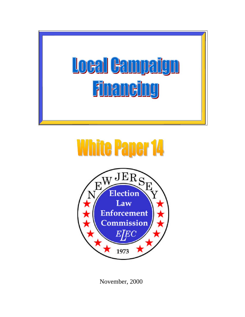

# **White Paper 14**



November, 2000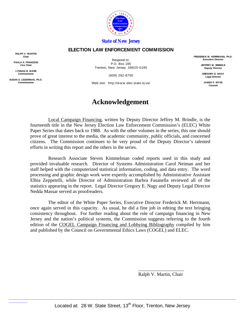

#### *State of New Jersey*

#### **ELECTION LAW ENFORCEMENT COMMISSION**

**RALPH V. MARTIN Chair**

**PAULA A. FRANZESE Vice Chair**

**LYNNAN B. WARE Commissioner**

**SUSAN S. LEDERMAN, Ph.D. Commissioner**

 $\overline{\phantom{a}}$ 

Respond to: P.O. Box 185 Trenton, New Jersey 08625-0185

(609) 292-8700

Web site: http://www.elec.state.nj.us/

# **Acknowledgement**

Local Campaign Financing, written by Deputy Director Jeffrey M. Brindle, is the fourteenth title in the New Jersey Election Law Enforcement Commission's (ELEC) White Paper Series that dates back to 1988. As with the other volumes in the series, this one should prove of great interest to the media, the academic community, public officials, and concerned citizens. The Commission continues to be very proud of the Deputy Director's talented efforts in writing this report and the others in the series.

Research Associate Steven Kimmelman coded reports used in this study and provided invaluable research. Director of Systems Administration Carol Neiman and her staff helped with the computerized statistical information, coding, and data entry. The word processing and graphic design work were expertly accomplished by Administrative Assistant Elbia Zeppetelli, while Director of Administration Barbra Fasanella reviewed all of the statistics appearing in the report. Legal Director Gregory E. Nagy and Deputy Legal Director Nedda Massar served as proofreaders.

The editor of the White Paper Series, Executive Director Frederick M. Herrmann, once again served in this capacity. As usual, he did a fine job in editing the text bringing consistency throughout. For further reading about the role of campaign financing in New Jersey and the nation's political systems, the Commission suggests referring to the fourth edition of the COGEL Campaign Financing and Lobbying Bibliography compiled by him and published by the Council on Governmental Ethics Laws (COGEL) and ELEC.

> \_\_\_\_\_\_\_\_\_\_\_\_\_\_\_\_\_\_\_ Ralph V. Martin, Chair

**FREDERICK M. HERRMANN, Ph.D. Executive Director**

> **JEFFREY M. BRINDLE Deputy Director**

**GREGORY E. NAGY Legal Director**

**JAMES P. WYSE Counsel**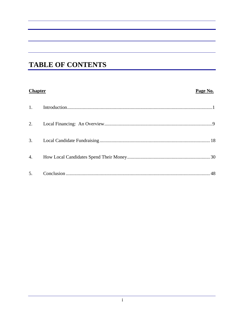# **TABLE OF CONTENTS**

## **Chapter**

## Page No.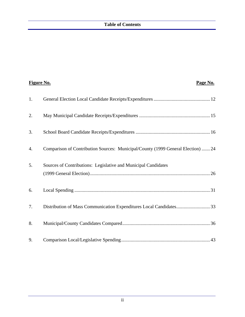| <b>Figure No.</b> | Page No.                                                                         |
|-------------------|----------------------------------------------------------------------------------|
| 1.                |                                                                                  |
| 2.                |                                                                                  |
| 3.                |                                                                                  |
| 4.                | Comparison of Contribution Sources: Municipal/County (1999 General Election)  24 |
| 5.                | Sources of Contributions: Legislative and Municipal Candidates                   |
| 6.                |                                                                                  |
| 7.                | Distribution of Mass Communication Expenditures Local Candidates33               |
| 8.                |                                                                                  |
| 9.                |                                                                                  |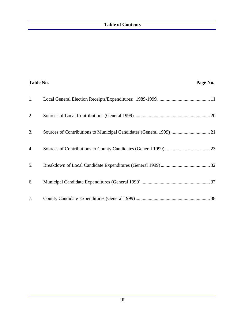| Table No. | Page No. |
|-----------|----------|
| 1.        |          |
| 2.        |          |
| 3.        |          |
| 4.        |          |
| 5.        |          |
| 6.        |          |
| 7.        |          |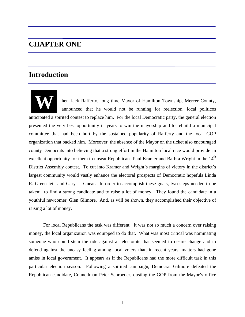# **CHAPTER ONE**

# **Introduction**

**W** hen Jack Rafferty, long time Mayor of Hamilton Township, Mercer County, announced that he would not be running for reelection, local politicos anticipated a spirited contest to replace him. For the local Democratic party, the general election presented the very best opportunity in years to win the mayorship and to rebuild a municipal committee that had been hurt by the sustained popularity of Rafferty and the local GOP organization that backed him. Moreover, the absence of the Mayor on the ticket also encouraged county Democrats into believing that a strong effort in the Hamilton local race would provide an excellent opportunity for them to unseat Republicans Paul Kramer and Barbra Wright in the 14<sup>th</sup> District Assembly contest. To cut into Kramer and Wright's margins of victory in the district's largest community would vastly enhance the electoral prospects of Democratic hopefuls Linda R. Greenstein and Gary L. Guear. In order to accomplish these goals, two steps needed to be taken: to find a strong candidate and to raise a lot of money. They found the candidate in a youthful newcomer, Glen Gilmore. And, as will be shown, they accomplished their objective of raising a lot of money.

For local Republicans the task was different. It was not so much a concern over raising money, the local organization was equipped to do that. What was most critical was nominating someone who could stem the tide against an electorate that seemed to desire change and to defend against the uneasy feeling among local voters that, in recent years, matters had gone amiss in local government. It appears as if the Republicans had the more difficult task in this particular election season. Following a spirited campaign, Democrat Gilmore defeated the Republican candidate, Councilman Peter Schroeder, ousting the GOP from the Mayor's office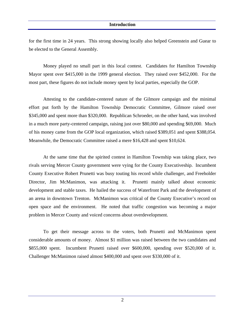for the first time in 24 years. This strong showing locally also helped Greenstein and Guear to be elected to the General Assembly.

Money played no small part in this local contest. Candidates for Hamilton Township Mayor spent over \$415,000 in the 1999 general election. They raised over \$452,000. For the most part, these figures do not include money spent by local parties, especially the GOP.

Attesting to the candidate-centered nature of the Gilmore campaign and the minimal effort put forth by the Hamilton Township Democratic Committee, Gilmore raised over \$345,000 and spent more than \$320,000. Republican Schroeder, on the other hand, was involved in a much more party-centered campaign, raising just over \$80,000 and spending \$69,000. Much of his money came from the GOP local organization, which raised \$389,051 and spent \$388,054. Meanwhile, the Democratic Committee raised a mere \$16,428 and spent \$10,624.

At the same time that the spirited contest in Hamilton Township was taking place, two rivals serving Mercer County government were vying for the County Executiveship. Incumbent County Executive Robert Prunetti was busy touting his record while challenger, and Freeholder Director, Jim McManimon, was attacking it. Prunetti mainly talked about economic development and stable taxes. He hailed the success of Waterfront Park and the development of an arena in downtown Trenton. McManimon was critical of the County Executive's record on open space and the environment. He noted that traffic congestion was becoming a major problem in Mercer County and voiced concerns about overdevelopment.

To get their message across to the voters, both Prunetti and McManimon spent considerable amounts of money. Almost \$1 million was raised between the two candidates and \$855,000 spent. Incumbent Prunetti raised over \$600,000, spending over \$520,000 of it. Challenger McManimon raised almost \$400,000 and spent over \$330,000 of it.

2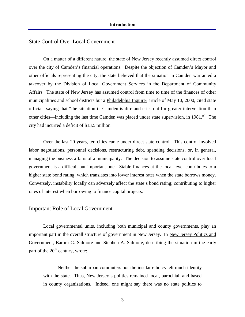## State Control Over Local Government

On a matter of a different nature, the state of New Jersey recently assumed direct control over the city of Camden's financial operations. Despite the objection of Camden's Mayor and other officials representing the city, the state believed that the situation in Camden warranted a takeover by the Division of Local Government Services in the Department of Community Affairs. The state of New Jersey has assumed control from time to time of the finances of other municipalities and school districts but a Philadelphia Inquirer article of May 10, 2000, cited state officials saying that "the situation in Camden is dire and cries out for greater intervention than other cities—including the last time Camden was placed under state supervision, in 1981."<sup>1</sup> The city had incurred a deficit of \$13.5 million.

Over the last 20 years, ten cities came under direct state control. This control involved labor negotiations, personnel decisions, restructuring debt, spending decisions, or, in general, managing the business affairs of a municipality. The decision to assume state control over local government is a difficult but important one. Stable finances at the local level contributes to a higher state bond rating, which translates into lower interest rates when the state borrows money. Conversely, instability locally can adversely affect the state's bond rating; contributing to higher rates of interest when borrowing to finance capital projects.

#### Important Role of Local Government

Local governmental units, including both municipal and county governments, play an important part in the overall structure of government in New Jersey. In New Jersey Politics and Government, Barbra G. Salmore and Stephen A. Salmore, describing the situation in the early part of the  $20<sup>th</sup>$  century, wrote:

Neither the suburban commuters nor the insular ethnics felt much identity with the state. Thus, New Jersey's politics remained local, parochial, and based in county organizations. Indeed, one might say there was no state politics to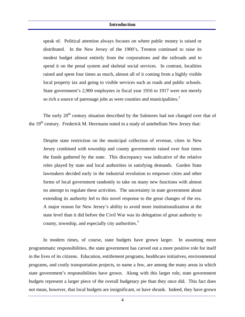speak of. Political attention always focuses on where public money is raised or distributed. In the New Jersey of the 1900's, Trenton continued to raise its modest budget almost entirely from the corporations and the railroads and to spend it on the penal system and skeletal social services. In contrast, localities raised and spent four times as much, almost all of it coming from a highly visible local property tax and going to visible services such as roads and public schools. State government's 2,900 employees in fiscal year 1916 to 1917 were not merely so rich a source of patronage jobs as were counties and municipalities. $2^2$ 

The early  $20<sup>th</sup>$  century situation described by the Salmores had not changed over that of the 19<sup>th</sup> century. Frederick M. Herrmann noted in a study of antebellum New Jersey that:

Despite state restriction on the municipal collection of revenue, cities in New Jersey combined with township and county governments raised over four times the funds gathered by the state. This discrepancy was indicative of the relative roles played by state and local authorities in satisfying demands. Garden State lawmakers decided early in the industrial revolution to empower cities and other forms of local government randomly to take on many new functions with almost no attempt to regulate these activities. The uncertainty in state government about extending its authority led to this novel response to the great changes of the era. A major reason for New Jersey's ability to avoid more institutionalization at the state level than it did before the Civil War was its delegation of great authority to county, township, and especially city authorities.<sup>3</sup>

In modern times, of course, state budgets have grown larger. In assuming more programmatic responsibilities, the state government has carved out a more positive role for itself in the lives of its citizens. Education, entitlement programs, healthcare initiatives, environmental programs, and costly transportation projects, to name a few, are among the many areas in which state government's responsibilities have grown. Along with this larger role, state government budgets represent a larger piece of the overall budgetary pie than they once did. This fact does not mean, however, that local budgets are insignificant, or have shrunk. Indeed, they have grown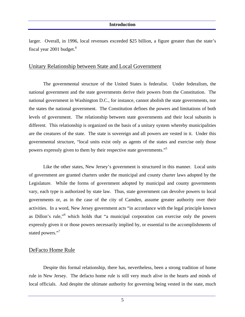larger. Overall, in 1996, local revenues exceeded \$25 billion, a figure greater than the state's fiscal year 2001 budget. $4$ 

## Unitary Relationship between State and Local Government

The governmental structure of the United States is federalist. Under federalism, the national government and the state governments derive their powers from the Constitution. The national government in Washington D.C., for instance, cannot abolish the state governments, nor the states the national government. The Constitution defines the powers and limitations of both levels of government. The relationship between state governments and their local subunits is different. This relationship is organized on the basis of a unitary system whereby municipalities are the creatures of the state. The state is sovereign and all powers are vested in it. Under this governmental structure, "local units exist only as agents of the states and exercise only those powers expressly given to them by their respective state governments."<sup>5</sup>

Like the other states, New Jersey's government is structured in this manner. Local units of government are granted charters under the municipal and county charter laws adopted by the Legislature. While the forms of government adopted by municipal and county governments vary, each type is authorized by state law. Thus, state government can devolve powers to local governments or, as in the case of the city of Camden, assume greater authority over their activities. In a word, New Jersey government acts "in accordance with the legal principle known as Dillon's rule,"<sup>6</sup> which holds that "a municipal corporation can exercise only the powers expressly given it or those powers necessarily implied by, or essential to the accomplishments of stated powers."<sup>7</sup>

## DeFacto Home Rule

Despite this formal relationship, there has, nevertheless, been a strong tradition of home rule in New Jersey. The defacto home rule is still very much alive in the hearts and minds of local officials. And despite the ultimate authority for governing being vested in the state, much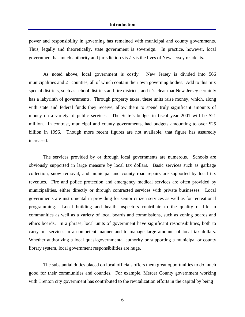power and responsibility in governing has remained with municipal and county governments. Thus, legally and theoretically, state government is sovereign. In practice, however, local government has much authority and jurisdiction vis-à-vis the lives of New Jersey residents.

As noted above, local government is costly. New Jersey is divided into 566 municipalities and 21 counties, all of which contain their own governing bodies. Add to this mix special districts, such as school districts and fire districts, and it's clear that New Jersey certainly has a labyrinth of governments. Through property taxes, these units raise money, which, along with state and federal funds they receive, allow them to spend truly significant amounts of money on a variety of public services. The State's budget in fiscal year 2001 will be \$21 million. In contrast, municipal and county governments, had budgets amounting to over \$25 billion in 1996. Though more recent figures are not available, that figure has assuredly increased.

The services provided by or through local governments are numerous. Schools are obviously supported in large measure by local tax dollars. Basic services such as garbage collection, snow removal, and municipal and county road repairs are supported by local tax revenues. Fire and police protection and emergency medical services are often provided by municipalities, either directly or through contracted services with private businesses. Local governments are instrumental in providing for senior citizen services as well as for recreational programming. Local building and health inspectors contribute to the quality of life in communities as well as a variety of local boards and commissions, such as zoning boards and ethics boards. In a phrase, local units of government have significant responsibilities, both to carry out services in a competent manner and to manage large amounts of local tax dollars. Whether authorizing a local quasi-governmental authority or supporting a municipal or county library system, local government responsibilities are huge.

The substantial duties placed on local officials offers them great opportunities to do much good for their communities and counties. For example, Mercer County government working with Trenton city government has contributed to the revitalization efforts in the capital by being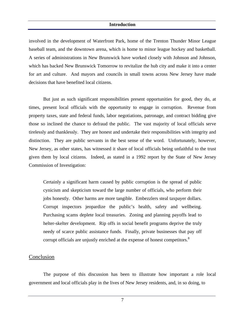involved in the development of Waterfront Park, home of the Trenton Thunder Minor League baseball team, and the downtown arena, which is home to minor league hockey and basketball. A series of administrations in New Brunswick have worked closely with Johnson and Johnson, which has backed New Brunswick Tomorrow to revitalize the hub city and make it into a center for art and culture. And mayors and councils in small towns across New Jersey have made decisions that have benefited local citizens.

But just as such significant responsibilities present opportunities for good, they do, at times, present local officials with the opportunity to engage in corruption. Revenue from property taxes, state and federal funds, labor negotiations, patronage, and contract bidding give those so inclined the chance to defraud the public. The vast majority of local officials serve tirelessly and thanklessly. They are honest and undertake their responsibilities with integrity and distinction. They are public servants in the best sense of the word. Unfortunately, however, New Jersey, as other states, has witnessed it share of local officials being unfaithful to the trust given them by local citizens. Indeed, as stated in a 1992 report by the State of New Jersey Commission of Investigation:

Certainly a significant harm caused by public corruption is the spread of public cynicism and skepticism toward the large number of officials, who perform their jobs honestly. Other harms are more tangible. Embezzlers steal taxpayer dollars. Corrupt inspectors jeopardize the public's health, safety and wellbeing. Purchasing scams deplete local treasuries. Zoning and planning payoffs lead to helter-skelter development. Rip offs in social benefit programs deprive the truly needy of scarce public assistance funds. Finally, private businesses that pay off corrupt officials are unjustly enriched at the expense of honest competitors.<sup>8</sup>

#### Conclusion

The purpose of this discussion has been to illustrate how important a role local government and local officials play in the lives of New Jersey residents, and, in so doing, to

7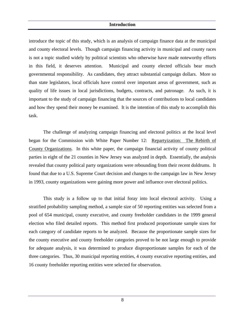introduce the topic of this study, which is an analysis of campaign finance data at the municipal and county electoral levels. Though campaign financing activity in municipal and county races is not a topic studied widely by political scientists who otherwise have made noteworthy efforts in this field, it deserves attention. Municipal and county elected officials bear much governmental responsibility. As candidates, they attract substantial campaign dollars. More so than state legislators, local officials have control over important areas of government, such as quality of life issues in local jurisdictions, budgets, contracts, and patronage. As such, it is important to the study of campaign financing that the sources of contributions to local candidates and how they spend their money be examined. It is the intention of this study to accomplish this task.

The challenge of analyzing campaign financing and electoral politics at the local level began for the Commission with White Paper Number 12: Repartyization: The Rebirth of County Organizations. In this white paper, the campaign financial activity of county political parties in eight of the 21 counties in New Jersey was analyzed in depth. Essentially, the analysis revealed that county political party organizations were rebounding from their recent doldrums. It found that due to a U.S. Supreme Court decision and changes to the campaign law in New Jersey in 1993, county organizations were gaining more power and influence over electoral politics.

This study is a follow up to that initial foray into local electoral activity. Using a stratified probability sampling method, a sample size of 50 reporting entities was selected from a pool of 654 municipal, county executive, and county freeholder candidates in the 1999 general election who filed detailed reports. This method first produced proportionate sample sizes for each category of candidate reports to be analyzed. Because the proportionate sample sizes for the county executive and county freeholder categories proved to be not large enough to provide for adequate analysis, it was determined to produce disproportionate samples for each of the three categories. Thus, 30 municipal reporting entities, 4 county executive reporting entities, and 16 county freeholder reporting entities were selected for observation.

8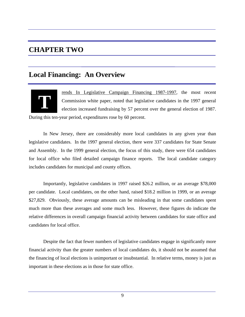# **CHAPTER TWO**

# **Local Financing: An Overview**



rends In Legislative Campaign Financing 1987-1997, the most recent Commission white paper, noted that legislative candidates in the 1997 general election increased fundraising by 57 percent over the general election of 1987.

During this ten-year period, expenditures rose by 60 percent.

In New Jersey, there are considerably more local candidates in any given year than legislative candidates. In the 1997 general election, there were 337 candidates for State Senate and Assembly. In the 1999 general election, the focus of this study, there were 654 candidates for local office who filed detailed campaign finance reports. The local candidate category includes candidates for municipal and county offices.

Importantly, legislative candidates in 1997 raised \$26.2 million, or an average \$78,000 per candidate. Local candidates, on the other hand, raised \$18.2 million in 1999, or an average \$27,829. Obviously, these average amounts can be misleading in that some candidates spent much more than these averages and some much less. However, these figures do indicate the relative differences in overall campaign financial activity between candidates for state office and candidates for local office.

Despite the fact that fewer numbers of legislative candidates engage in significantly more financial activity than the greater numbers of local candidates do, it should not be assumed that the financing of local elections is unimportant or insubstantial. In relative terms, money is just as important in these elections as in those for state office.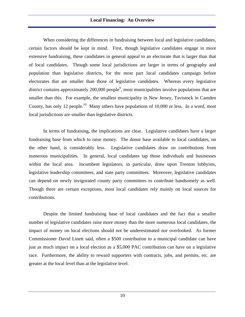When considering the differences in fundraising between local and legislative candidates, certain factors should be kept in mind. First, though legislative candidates engage in more extensive fundraising, these candidates in general appeal to an electorate that is larger than that of local candidates. Though some local jurisdictions are larger in terms of geography and population than legislative districts, for the most part local candidates campaign before electorates that are smaller than those of legislative candidates. Whereas every legislative district contains approximately 200,000 people<sup>9</sup>, most municipalities involve populations that are smaller than this. For example, the smallest municipality in New Jersey, Tavistock in Camden County, has only 12 people.<sup>10</sup> Many others have populations of 10,000 or less. In a word, most local jurisdictions are smaller than legislative districts.

In terms of fundraising, the implications are clear. Legislative candidates have a larger fundraising base from which to raise money. The donor base available to local candidates, on the other hand, is considerably less. Legislative candidates draw on contributions from numerous municipalities. In general, local candidates tap those individuals and businesses within the local area. Incumbent legislators, in particular, draw upon Trenton lobbyists, legislative leadership committees, and state party committees. Moreover, legislative candidates can depend on newly invigorated county party committees to contribute handsomely as well. Though there are certain exceptions, most local candidates rely mainly on local sources for contributions.

Despite the limited fundraising base of local candidates and the fact that a smaller number of legislative candidates raise more money than the more numerous local candidates, the impact of money on local elections should not be underestimated nor overlooked. As former Commissioner David Linett said, often a \$500 contribution to a municipal candidate can have just as much impact on a local election as a \$5,000 PAC contribution can have on a legislative race. Furthermore, the ability to reward supporters with contracts, jobs, and permits, etc. are greater at the local level than at the legislative level.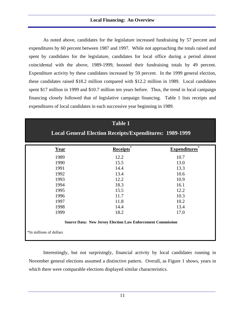As noted above, candidates for the legislature increased fundraising by 57 percent and expenditures by 60 percent between 1987 and 1997. While not approaching the totals raised and spent by candidates for the legislature, candidates for local office during a period almost coincidental with the above, 1989-1999, boosted their fundraising totals by 49 percent. Expenditure activity by these candidates increased by 59 percent. In the 1999 general election, these candidates raised \$18.2 million compared with \$12.2 million in 1989. Local candidates spent \$17 million in 1999 and \$10.7 million ten years before. Thus, the trend in local campaign financing closely followed that of legislative campaign financing. Table 1 lists receipts and expenditures of local candidates in each successive year beginning in 1989.

|                                                                                               | <b>Table 1</b><br><b>Local General Election Receipts/Expenditures: 1989-1999</b> |                     |  |  |
|-----------------------------------------------------------------------------------------------|----------------------------------------------------------------------------------|---------------------|--|--|
| <b>Year</b>                                                                                   | <b>Receipts</b>                                                                  | <b>Expenditures</b> |  |  |
| 1989                                                                                          | 12.2                                                                             | 10.7                |  |  |
| 1990                                                                                          | 15.5                                                                             | 13.0                |  |  |
| 1991                                                                                          | 14.4                                                                             | 13.3                |  |  |
| 1992                                                                                          | 13.4                                                                             | 10.6                |  |  |
| 1993                                                                                          | 12.2                                                                             | 10.9                |  |  |
| 1994                                                                                          | 18.3                                                                             | 16.1                |  |  |
| 1995                                                                                          | 15.5                                                                             | 12.2                |  |  |
| 1996                                                                                          | 11.7                                                                             | 10.3                |  |  |
| 1997                                                                                          | 11.8                                                                             | 10.2                |  |  |
| 1998                                                                                          | 14.4                                                                             | 13.4                |  |  |
| 1999                                                                                          | 18.2                                                                             | 17.0                |  |  |
| <b>Source Data: New Jersey Election Law Enforcement Commission</b><br>*In millions of dollars |                                                                                  |                     |  |  |

Interestingly, but not surprisingly, financial activity by local candidates running in November general elections assumed a distinctive pattern. Overall, as Figure 1 shows, years in which there were comparable elections displayed similar characteristics.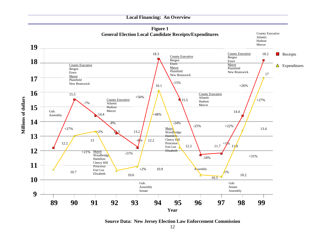#### **Local Financing: An Overview**



**Source Data: New Jersey Election Law Enforcement Commission**

12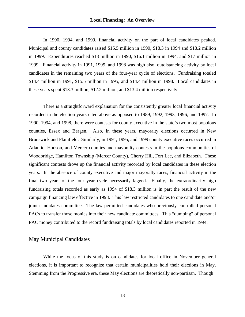In 1990, 1994, and 1999, financial activity on the part of local candidates peaked. Municipal and county candidates raised \$15.5 million in 1990, \$18.3 in 1994 and \$18.2 million in 1999. Expenditures reached \$13 million in 1990, \$16.1 million in 1994, and \$17 million in 1999. Financial activity in 1991, 1995, and 1998 was high also, outdistancing activity by local candidates in the remaining two years of the four-year cycle of elections. Fundraising totaled \$14.4 million in 1991, \$15.5 million in 1995, and \$14.4 million in 1998. Local candidates in these years spent \$13.3 million, \$12.2 million, and \$13.4 million respectively.

There is a straightforward explanation for the consistently greater local financial activity recorded in the election years cited above as opposed to 1989, 1992, 1993, 1996, and 1997. In 1990, 1994, and 1998, there were contests for county executive in the state's two most populous counties, Essex and Bergen. Also, in these years, mayoralty elections occurred in New Brunswick and Plainfield. Similarly, in 1991, 1995, and 1999 county executive races occurred in Atlantic, Hudson, and Mercer counties and mayoralty contests in the populous communities of Woodbridge, Hamilton Township (Mercer County), Cherry Hill, Fort Lee, and Elizabeth. These significant contests drove up the financial activity recorded by local candidates in these election years. In the absence of county executive and major mayoralty races, financial activity in the final two years of the four year cycle necessarily lagged. Finally, the extraordinarily high fundraising totals recorded as early as 1994 of \$18.3 million is in part the result of the new campaign financing law effective in 1993. This law restricted candidates to one candidate and/or joint candidates committee. The law permitted candidates who previously controlled personal PACs to transfer those monies into their new candidate committees. This "dumping" of personal PAC money contributed to the record fundraising totals by local candidates reported in 1994.

## May Municipal Candidates

While the focus of this study is on candidates for local office in November general elections, it is important to recognize that certain municipalities hold their elections in May. Stemming from the Progressive era, these May elections are theoretically non-partisan. Though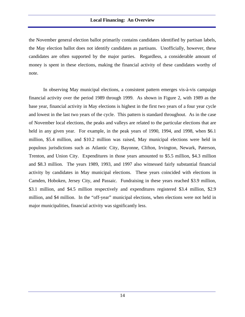the November general election ballot primarily contains candidates identified by partisan labels, the May election ballot does not identify candidates as partisans. Unofficially, however, these candidates are often supported by the major parties. Regardless, a considerable amount of money is spent in these elections, making the financial activity of these candidates worthy of note.

In observing May municipal elections, a consistent pattern emerges vis-à-vis campaign financial activity over the period 1989 through 1999. As shown in Figure 2, with 1989 as the base year, financial activity in May elections is highest in the first two years of a four year cycle and lowest in the last two years of the cycle. This pattern is standard throughout. As in the case of November local elections, the peaks and valleys are related to the particular elections that are held in any given year. For example, in the peak years of 1990, 1994, and 1998, when \$6.1 million, \$5.4 million, and \$10.2 million was raised, May municipal elections were held in populous jurisdictions such as Atlantic City, Bayonne, Clifton, Irvington, Newark, Paterson, Trenton, and Union City. Expenditures in those years amounted to \$5.5 million, \$4.3 million and \$8.3 million. The years 1989, 1993, and 1997 also witnessed fairly substantial financial activity by candidates in May municipal elections. These years coincided with elections in Camden, Hoboken, Jersey City, and Passaic. Fundraising in these years reached \$3.9 million, \$3.1 million, and \$4.5 million respectively and expenditures registered \$3.4 million, \$2.9 million, and \$4 million. In the "off-year" municipal elections, when elections were not held in major municipalities, financial activity was significantly less.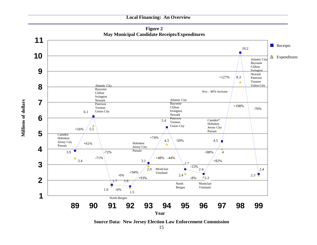#### **Local Financing: An Overview**



**Millions of dollars**

Millions of dollars

**Source Data: New Jersey Election Law Enforcement Commission** 15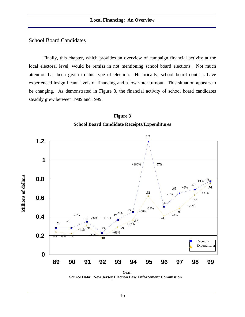# School Board Candidates

Finally, this chapter, which provides an overview of campaign financial activity at the local electoral level, would be remiss in not mentioning school board elections. Not much attention has been given to this type of election. Historically, school board contests have experienced insignificant levels of financing and a low voter turnout. This situation appears to be changing. As demonstrated in Figure 3, the financial activity of school board candidates steadily grew between 1989 and 1999.





**Year Source Data: New Jersey Election Law Enforcement Commission**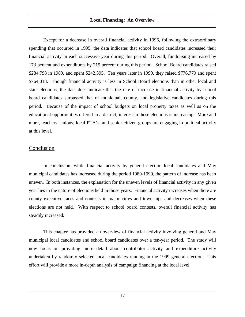Except for a decrease in overall financial activity in 1996, following the extraordinary spending that occurred in 1995, the data indicates that school board candidates increased their financial activity in each successive year during this period. Overall, fundraising increased by 173 percent and expenditures by 215 percent during this period. School Board candidates raised \$284,798 in 1989, and spent \$242,395. Ten years later in 1999, they raised \$776,770 and spent \$764,018. Though financial activity is less in School Board elections than in other local and state elections, the data does indicate that the rate of increase in financial activity by school board candidates surpassed that of municipal, county, and legislative candidates during this period. Because of the impact of school budgets on local property taxes as well as on the educational opportunities offered in a district, interest in these elections is increasing. More and more, teachers' unions, local PTA's, and senior citizen groups are engaging in political activity at this level.

## **Conclusion**

In conclusion, while financial activity by general election local candidates and May municipal candidates has increased during the period 1989-1999, the pattern of increase has been uneven. In both instances, the explanation for the uneven levels of financial activity in any given year lies in the nature of elections held in those years. Financial activity increases when there are county executive races and contests in major cities and townships and decreases when these elections are not held. With respect to school board contests, overall financial activity has steadily increased.

This chapter has provided an overview of financial activity involving general and May municipal local candidates and school board candidates over a ten-year period. The study will now focus on providing more detail about contributor activity and expenditure activity undertaken by randomly selected local candidates running in the 1999 general election. This effort will provide a more in-depth analysis of campaign financing at the local level.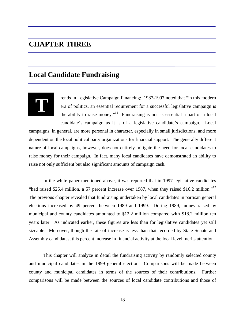# **CHAPTER THREE**

# **Local Candidate Fundraising**



rends In Legislative Campaign Financing: 1987-1997 noted that "in this modern era of politics, an essential requirement for a successful legislative campaign is the ability to raise money."<sup>11</sup> Fundraising is not as essential a part of a local candidate's campaign as it is of a legislative candidate's campaign. Local

campaigns, in general, are more personal in character, especially in small jurisdictions, and more dependent on the local political party organizations for financial support. The generally different nature of local campaigns, however, does not entirely mitigate the need for local candidates to raise money for their campaign. In fact, many local candidates have demonstrated an ability to raise not only sufficient but also significant amounts of campaign cash.

In the white paper mentioned above, it was reported that in 1997 legislative candidates "had raised \$25.4 million, a 57 percent increase over 1987, when they raised \$16.2 million."<sup>12</sup> The previous chapter revealed that fundraising undertaken by local candidates in partisan general elections increased by 49 percent between 1989 and 1999. During 1989, money raised by municipal and county candidates amounted to \$12.2 million compared with \$18.2 million ten years later. As indicated earlier, these figures are less than for legislative candidates yet still sizeable. Moreover, though the rate of increase is less than that recorded by State Senate and Assembly candidates, this percent increase in financial activity at the local level merits attention.

This chapter will analyze in detail the fundraising activity by randomly selected county and municipal candidates in the 1999 general election. Comparisons will be made between county and municipal candidates in terms of the sources of their contributions. Further comparisons will be made between the sources of local candidate contributions and those of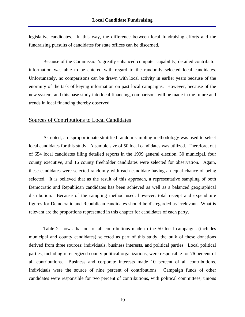legislative candidates. In this way, the difference between local fundraising efforts and the fundraising pursuits of candidates for state offices can be discerned.

Because of the Commission's greatly enhanced computer capability, detailed contributor information was able to be entered with regard to the randomly selected local candidates. Unfortunately, no comparisons can be drawn with local activity in earlier years because of the enormity of the task of keying information on past local campaigns. However, because of the new system, and this base study into local financing, comparisons will be made in the future and trends in local financing thereby observed.

#### Sources of Contributions to Local Candidates

As noted, a disproportionate stratified random sampling methodology was used to select local candidates for this study. A sample size of 50 local candidates was utilized. Therefore, out of 654 local candidates filing detailed reports in the 1999 general election, 30 municipal, four county executive, and 16 county freeholder candidates were selected for observation. Again, these candidates were selected randomly with each candidate having an equal chance of being selected. It is believed that as the result of this approach, a representative sampling of both Democratic and Republican candidates has been achieved as well as a balanced geographical distribution. Because of the sampling method used, however, total receipt and expenditure figures for Democratic and Republican candidates should be disregarded as irrelevant. What is relevant are the proportions represented in this chapter for candidates of each party.

Table 2 shows that out of all contributions made to the 50 local campaigns (includes municipal and county candidates) selected as part of this study, the bulk of these donations derived from three sources: individuals, business interests, and political parties. Local political parties, including re-energized county political organizations, were responsible for 76 percent of all contributions. Business and corporate interests made 10 percent of all contributions. Individuals were the source of nine percent of contributions. Campaign funds of other candidates were responsible for two percent of contributions, with political committees, unions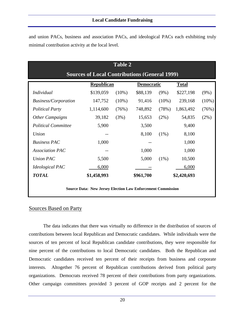and union PACs, business and association PACs, and ideological PACs each exhibiting truly minimal contribution activity at the local level.

|                                                                    | <b>Table 2</b> |          |                   |          |             |          |  |
|--------------------------------------------------------------------|----------------|----------|-------------------|----------|-------------|----------|--|
| <b>Sources of Local Contributions (General 1999)</b>               |                |          |                   |          |             |          |  |
| <b>Republican</b><br><b>Total</b><br><b>Democratic</b>             |                |          |                   |          |             |          |  |
| Individual                                                         | \$139,059      | $(10\%)$ | \$88,139          | $(9\%)$  | \$227,198   | (9%)     |  |
| <b>Business/Corporation</b>                                        | 147,752        | $(10\%)$ | 91,416            | $(10\%)$ | 239,168     | $(10\%)$ |  |
| <b>Political Party</b>                                             | 1,114,600      | (76%)    | 748,892           | (78%)    | 1,863,492   | (76%)    |  |
| <b>Other Campaigns</b>                                             | 39,182         | (3%)     | 15,653            | $(2\%)$  | 54,835      | $(2\%)$  |  |
| <b>Political Committee</b>                                         | 5,900          |          | 3,500             |          | 9,400       |          |  |
| Union                                                              |                |          | 8,100             | $(1\%)$  | 8,100       |          |  |
| <b>Business PAC</b>                                                | 1,000          |          |                   |          | 1,000       |          |  |
| <b>Association PAC</b>                                             |                |          | 1,000             |          | 1,000       |          |  |
| Union PAC                                                          | 5,500          |          | 5,000             | $(1\%)$  | 10,500      |          |  |
| <b>Ideological PAC</b>                                             | 6,000          |          | $\qquad \qquad -$ |          | 6,000       |          |  |
| <b>TOTAL</b>                                                       | \$1,458,993    |          | \$961,700         |          | \$2,420,693 |          |  |
| <b>Source Data: New Jersey Election Law Enforcement Commission</b> |                |          |                   |          |             |          |  |

## Sources Based on Party

The data indicates that there was virtually no difference in the distribution of sources of contributions between local Republican and Democratic candidates. While individuals were the sources of ten percent of local Republican candidate contributions, they were responsible for nine percent of the contributions to local Democratic candidates. Both the Republican and Democratic candidates received ten percent of their receipts from business and corporate interests. Altogether 76 percent of Republican contributions derived from political party organizations. Democrats received 78 percent of their contributions from party organizations. Other campaign committees provided 3 percent of GOP receipts and 2 percent for the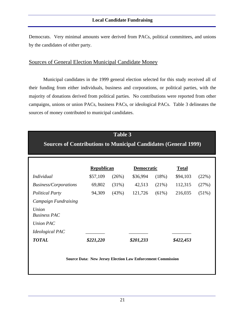Democrats. Very minimal amounts were derived from PACs, political committees, and unions by the candidates of either party.

# Sources of General Election Municipal Candidate Money

Municipal candidates in the 1999 general election selected for this study received all of their funding from either individuals, business and corporations, or political parties, with the majority of donations derived from political parties. No contributions were reported from other campaigns, unions or union PACs, business PACs, or ideological PACs. Table 3 delineates the sources of money contributed to municipal candidates.

# **Table 3**

# **Sources of Contributions to Municipal Candidates (General 1999)**

|                              | <b>Republican</b> |          | <b>Democratic</b> |          | <b>Total</b> |       |
|------------------------------|-------------------|----------|-------------------|----------|--------------|-------|
| <i>Individual</i>            | \$57,109          | (26%)    | \$36,994          | (18%)    | \$94,103     | (22%) |
| <b>Business/Corporations</b> | 69,802            | $(31\%)$ | 42,513            | (21%)    | 112,315      | (27%) |
| <b>Political Party</b>       | 94,309            | (43%)    | 121,726           | $(61\%)$ | 216,035      | (51%) |
| <b>Campaign Fundraising</b>  |                   |          |                   |          |              |       |
| Union<br><b>Business PAC</b> |                   |          |                   |          |              |       |
| Union PAC                    |                   |          |                   |          |              |       |
| <i>Ideological PAC</i>       |                   |          |                   |          |              |       |
| <b>TOTAL</b>                 | \$221,220         |          | \$201,233         |          | \$422,453    |       |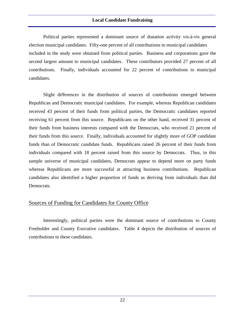Political parties represented a dominant source of donation activity vis-à-vis general election municipal candidates. Fifty-one percent of all contributions to municipal candidates included in the study were obtained from political parties. Business and corporations gave the second largest amount to municipal candidates. These contributors provided 27 percent of all contributions. Finally, individuals accounted for 22 percent of contributions to municipal candidates.

Slight differences in the distribution of sources of contributions emerged between Republican and Democratic municipal candidates. For example, whereas Republican candidates received 43 percent of their funds from political parties, the Democratic candidates reported receiving 61 percent from this source. Republicans on the other hand, received 31 percent of their funds from business interests compared with the Democrats, who received 21 percent of their funds from this source. Finally, individuals accounted for slightly more of GOP candidate funds than of Democratic candidate funds. Republicans raised 26 percent of their funds from individuals compared with 18 percent raised from this source by Democrats. Thus, in this sample universe of municipal candidates, Democrats appear to depend more on party funds whereas Republicans are more successful at attracting business contributions. Republican candidates also identified a higher proportion of funds as deriving from individuals than did Democrats.

## Sources of Funding for Candidates for County Office

Interestingly, political parties were the dominant source of contributions to County Freeholder and County Executive candidates. Table 4 depicts the distribution of sources of contributions to these candidates.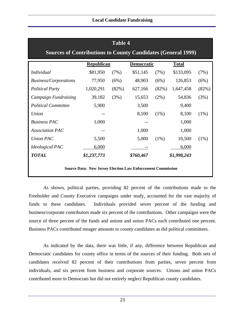| <b>Table 4</b>                                                      |                   |       |                   |         |              |         |
|---------------------------------------------------------------------|-------------------|-------|-------------------|---------|--------------|---------|
| <b>Sources of Contributions to County Candidates (General 1999)</b> |                   |       |                   |         |              |         |
|                                                                     | <b>Republican</b> |       | <b>Democratic</b> |         | <b>Total</b> |         |
| <b>Individual</b>                                                   | \$81,950          | (7%)  | \$51,145          | (7%)    | \$133,095    | (7%)    |
| <b>Business/Corporations</b>                                        | 77,950            | (6%)  | 48,903            | (6%)    | 126,853      | (6%)    |
| <b>Political Party</b>                                              | 1,020,291         | (82%) | 627,166           | (82%)   | 1,647,458    | (82%)   |
| Campaign Fundraising                                                | 39,182            | (3%)  | 15,653            | $(2\%)$ | 54,836       | (3%)    |
| <b>Political Committee</b>                                          | 5,900             |       | 3,500             |         | 9,400        |         |
| Union                                                               |                   |       | 8,100             | $(1\%)$ | 8,100        | $(1\%)$ |
| <b>Business PAC</b>                                                 | 1,000             |       |                   |         | 1,000        |         |
| <b>Association PAC</b>                                              |                   |       | 1,000             |         | 1,000        |         |
| <b>Union PAC</b>                                                    | 5,500             |       | 5,000             | $(1\%)$ | 10,500       | $(1\%)$ |
| <i>Ideological PAC</i>                                              | 6,000             |       |                   |         | 6,000        |         |
| <b>TOTAL</b>                                                        | \$1,237,773       |       | \$760,467         |         | \$1,998,243  |         |
| <b>Source Data: New Jersey Election Law Enforcement Commission</b>  |                   |       |                   |         |              |         |

As shown, political parties, providing 82 percent of the contributions made to the Freeholder and County Executive campaigns under study, accounted for the vast majority of funds to these candidates. Individuals provided seven percent of the funding and business/corporate contributors made six percent of the contributions. Other campaigns were the source of three percent of the funds and unions and union PACs each contributed one percent. Business PACs contributed meager amounts to county candidates as did political committees.

As indicated by the data, there was little, if any, difference between Republican and Democratic candidates for county office in terms of the sources of their funding. Both sets of candidates received 82 percent of their contributions from parties, seven percent from individuals, and six percent from business and corporate sources. Unions and union PACs contributed more to Democrats but did not entirely neglect Republican county candidates.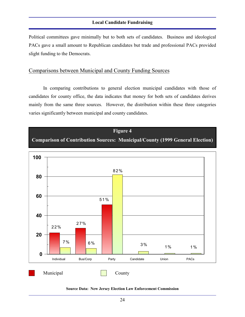Political committees gave minimally but to both sets of candidates. Business and ideological PACs gave a small amount to Republican candidates but trade and professional PACs provided slight funding to the Democrats.

## Comparisons between Municipal and County Funding Sources

In comparing contributions to general election municipal candidates with those of candidates for county office, the data indicates that money for both sets of candidates derives mainly from the same three sources. However, the distribution within these three categories varies significantly between municipal and county candidates.

## **Figure 4**

# **Comparison of Contribution Sources: Municipal/County (1999 General Election)**



#### **Source Data: New Jersey Election Law Enforcement Commission**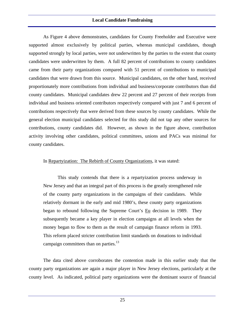As Figure 4 above demonstrates, candidates for County Freeholder and Executive were supported almost exclusively by political parties, whereas municipal candidates, though supported strongly by local parties, were not underwritten by the parties to the extent that county candidates were underwritten by them. A full 82 percent of contributions to county candidates came from their party organizations compared with 51 percent of contributions to municipal candidates that were drawn from this source. Municipal candidates, on the other hand, received proportionately more contributions from individual and business/corporate contributors than did county candidates. Municipal candidates drew 22 percent and 27 percent of their receipts from individual and business oriented contributors respectively compared with just 7 and 6 percent of contributions respectively that were derived from these sources by county candidates. While the general election municipal candidates selected for this study did not tap any other sources for contributions, county candidates did. However, as shown in the figure above, contribution activity involving other candidates, political committees, unions and PACs was minimal for county candidates.

#### In Repartyization: The Rebirth of County Organizations, it was stated:

This study contends that there is a repartyization process underway in New Jersey and that an integral part of this process is the greatly strengthened role of the county party organizations in the campaigns of their candidates. While relatively dormant in the early and mid 1980's, these county party organizations began to rebound following the Supreme Court's Eu decision in 1989. They subsequently became a key player in election campaigns at all levels when the money began to flow to them as the result of campaign finance reform in 1993. This reform placed stricter contribution limit standards on donations to individual campaign committees than on parties.<sup>13</sup>

The data cited above corroborates the contention made in this earlier study that the county party organizations are again a major player in New Jersey elections, particularly at the county level. As indicated, political party organizations were the dominant source of financial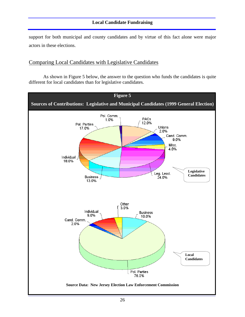support for both municipal and county candidates and by virtue of this fact alone were major actors in these elections.

## Comparing Local Candidates with Legislative Candidates

As shown in Figure 5 below, the answer to the question who funds the candidates is quite different for local candidates than for legislative candidates.

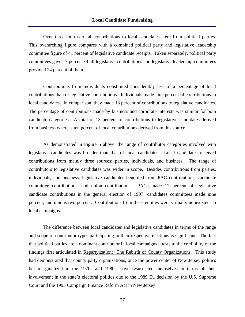Over three-fourths of all contributions to local candidates stem from political parties. This overarching figure compares with a combined political party and legislative leadership committee figure of 41 percent of legislative candidate receipts. Taken separately, political party committees gave 17 percent of all legislative contributions and legislative leadership committees provided 24 percent of them.

Contributions from individuals constituted considerably less of a percentage of local contributions than of legislative contributions. Individuals made nine percent of contributions to local candidates. In comparison, they made 18 percent of contributions to legislative candidates. The percentage of contributions made by business and corporate interests was similar for both candidate categories. A total of 13 percent of contributions to legislative candidates derived from business whereas ten percent of local contributions derived from this source.

As demonstrated in Figure 5 above, the range of contributor categories involved with legislative candidates was broader than that of local candidates. Local candidates received contributions from mainly three sources: parties, individuals, and business. The range of contributors to legislative candidates was wider in scope. Besides contributions from parties, individuals, and business, legislative candidates benefited from PAC contributions, candidate committee contributions, and union contributions. PACs made 12 percent of legislative candidate contributions in the general election of 1997, candidates committees made nine percent, and unions two percent. Contributions from these entities were virtually nonexistent in local campaigns.

The difference between local candidates and legislative candidates in terms of the range and scope of contributor types participating in their respective elections is significant. The fact that political parties are a dominant contributor in local campaigns attests to the credibility of the findings first articulated in Repartyization: The Rebirth of County Organizations. This study had demonstrated that county party organizations, once the power center of New Jersey politics but marginalized in the 1970s and 1980s, have resurrected themselves in terms of their involvement in the state's electoral politics due to the  $1989 \underline{Eu}$  decision by the U.S. Supreme Court and the 1993 Campaign Finance Reform Act in New Jersey.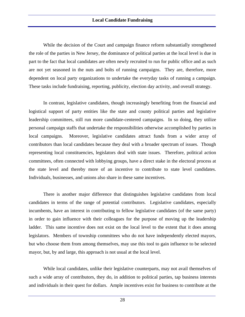While the decision of the Court and campaign finance reform substantially strengthened the role of the parties in New Jersey, the dominance of political parties at the local level is due in part to the fact that local candidates are often newly recruited to run for public office and as such are not yet seasoned in the nuts and bolts of running campaigns. They are, therefore, more dependent on local party organizations to undertake the everyday tasks of running a campaign. These tasks include fundraising, reporting, publicity, election day activity, and overall strategy.

In contrast, legislative candidates, though increasingly benefiting from the financial and logistical support of party entities like the state and county political parties and legislative leadership committees, still run more candidate-centered campaigns. In so doing, they utilize personal campaign staffs that undertake the responsibilities otherwise accomplished by parties in local campaigns. Moreover, legislative candidates attract funds from a wider array of contributors than local candidates because they deal with a broader spectrum of issues. Though representing local constituencies, legislators deal with state issues. Therefore, political action committees, often connected with lobbying groups, have a direct stake in the electoral process at the state level and thereby more of an incentive to contribute to state level candidates. Individuals, businesses, and unions also share in these same incentives.

There is another major difference that distinguishes legislative candidates from local candidates in terms of the range of potential contributors. Legislative candidates, especially incumbents, have an interest in contributing to fellow legislative candidates (of the same party) in order to gain influence with their colleagues for the purpose of moving up the leadership ladder. This same incentive does not exist on the local level to the extent that it does among legislators. Members of township committees who do not have independently elected mayors, but who choose them from among themselves, may use this tool to gain influence to be selected mayor, but, by and large, this approach is not usual at the local level.

While local candidates, unlike their legislative counterparts, may not avail themselves of such a wide array of contributors, they do, in addition to political parties, tap business interests and individuals in their quest for dollars. Ample incentives exist for business to contribute at the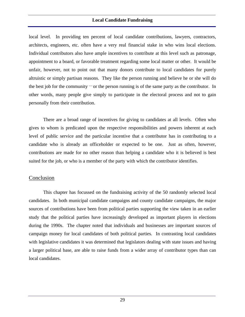local level. In providing ten percent of local candidate contributions, lawyers, contractors, architects, engineers, etc. often have a very real financial stake in who wins local elections. Individual contributors also have ample incentives to contribute at this level such as patronage, appointment to a board, or favorable treatment regarding some local matter or other. It would be unfair, however, not to point out that many donors contribute to local candidates for purely altruistic or simply partisan reasons. They like the person running and believe he or she will do the best job for the community — or the person running is of the same party as the contributor. In other words, many people give simply to participate in the electoral process and not to gain personally from their contribution.

There are a broad range of incentives for giving to candidates at all levels. Often who gives to whom is predicated upon the respective responsibilities and powers inherent at each level of public service and the particular incentive that a contributor has in contributing to a candidate who is already an officeholder or expected to be one. Just as often, however, contributions are made for no other reason than helping a candidate who it is believed is best suited for the job, or who is a member of the party with which the contributor identifies.

## Conclusion

This chapter has focussed on the fundraising activity of the 50 randomly selected local candidates. In both municipal candidate campaigns and county candidate campaigns, the major sources of contributions have been from political parties supporting the view taken in an earlier study that the political parties have increasingly developed as important players in elections during the 1990s. The chapter noted that individuals and businesses are important sources of campaign money for local candidates of both political parties. In contrasting local candidates with legislative candidates it was determined that legislators dealing with state issues and having a larger political base, are able to raise funds from a wider array of contributor types than can local candidates.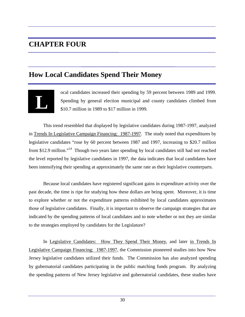# **CHAPTER FOUR**

# **How Local Candidates Spend Their Money**



ocal candidates increased their spending by 59 percent between 1989 and 1999. Spending by general election municipal and county candidates climbed from \$10.7 million in 1989 to \$17 million in 1999.

This trend resembled that displayed by legislative candidates during 1987-1997, analyzed in Trends In Legislative Campaign Financing: 1987-1997. The study noted that expenditures by legislative candidates "rose by 60 percent between 1987 and 1997, increasing to \$20.7 million from \$12.9 million."<sup>14</sup> Though two years later spending by local candidates still had not reached the level reported by legislative candidates in 1997, the data indicates that local candidates have been intensifying their spending at approximately the same rate as their legislative counterparts.

Because local candidates have registered significant gains in expenditure activity over the past decade, the time is ripe for studying how these dollars are being spent. Moreover, it is time to explore whether or not the expenditure patterns exhibited by local candidates approximates those of legislative candidates. Finally, it is important to observe the campaign strategies that are indicated by the spending patterns of local candidates and to note whether or not they are similar to the strategies employed by candidates for the Legislature?

In Legislative Candidates: How They Spend Their Money, and later in Trends In Legislative Campaign Financing: 1987-1997, the Commission pioneered studies into how New Jersey legislative candidates utilized their funds. The Commission has also analyzed spending by gubernatorial candidates participating in the public matching funds program. By analyzing the spending patterns of New Jersey legislative and gubernatorial candidates, these studies have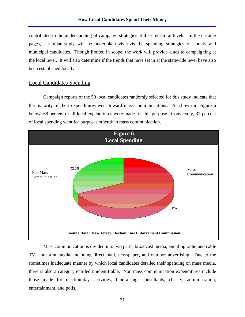contributed to the understanding of campaign strategies at these electoral levels. In the ensuing pages, a similar study will be undertaken vis-à-vis the spending strategies of county and municipal candidates. Though limited in scope, the work will provide clues to campaigning at the local level. It will also determine if the trends that have set in at the statewide level have also been established locally.

## Local Candidates Spending

Campaign reports of the 50 local candidates randomly selected for this study indicate that the majority of their expenditures went toward mass communications. As shown in Figure 6 below, 68 percent of all local expenditures were made for this purpose. Conversely, 32 percent of local spending went for purposes other than mass communication.



Mass communication is divided into two parts, broadcast media, entailing radio and cable TV, and print media, including direct mail, newspaper, and outdoor advertising. Due to the sometimes inadequate manner by which local candidates detailed their spending on mass media, there is also a category entitled unidentifiable. Non mass communication expenditures include those made for election-day activities, fundraising, consultants, charity, administration, entertainment, and polls.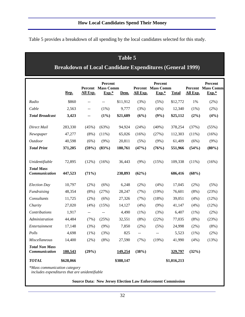Table 5 provides a breakdown of all spending by the local candidates selected for this study.

# **Table 5**

# **Breakdown of Local Candidate Expenditures (General 1999)**

|                                        |           |                                               | Percent                             |           |                          | Percent                                       |              |          | Percent                             |
|----------------------------------------|-----------|-----------------------------------------------|-------------------------------------|-----------|--------------------------|-----------------------------------------------|--------------|----------|-------------------------------------|
|                                        | Rep.      | All Exp.                                      | <b>Percent</b> Mass Comm<br>$Exp.*$ | Dem.      | All Exp.                 | <b>Percent</b> Mass Comm<br>$Exp.*$           | <b>Total</b> | All Exp. | <b>Percent</b> Mass Comm<br>$Exp.*$ |
| Radio                                  | \$860     | $\overline{a}$                                | $\sim$ $\sim$                       | \$11,912  | (3%)                     | (5%)                                          | \$12,772     | 1%       | $(2\%)$                             |
| Cable                                  | 2,563     | $\mathord{\hspace{1pt}\text{--}\hspace{1pt}}$ | $(1\%)$                             | 9,777     | (3%)                     | (4%)                                          | 12,340       | $(1\%)$  | $(2\%)$                             |
| <b>Total Broadcast</b>                 | 3,423     | --                                            | $(1\%)$                             | \$21,689  | (6%)                     | (9%)                                          | \$25,112     | $(2\%)$  | (4%)                                |
|                                        |           |                                               |                                     |           |                          |                                               |              |          |                                     |
| Direct Mail                            | 283,330   | (45%)                                         | (63%)                               | 94,924    | (24%)                    | (40%)                                         | 378,254      | (37%)    | (55%)                               |
| Newspaper                              | 47,277    | $(8\%)$                                       | $(11\%)$                            | 65,026    | (16%)                    | (27%)                                         | 112,303      | $(11\%)$ | (16%)                               |
| <i>Outdoor</i>                         | 40,598    | (6%)                                          | $(9\%)$                             | 20,811    | (5%)                     | $(9\%)$                                       | 61,409       | (6%)     | $(9\%)$                             |
| <b>Total Print</b>                     | 371,205   | (59%)                                         | (83%)                               | 180,761   | (47%)                    | (76%)                                         | 551,966      | (54%)    | (80%)                               |
|                                        |           |                                               |                                     |           |                          |                                               |              |          |                                     |
| Unidentifiable                         | 72,895    | (12%)                                         | (16%)                               | 36,443    | (9%)                     | (15%)                                         | 109,338      | (11%)    | (16%)                               |
| <b>Total Mass</b>                      |           |                                               |                                     |           |                          |                                               |              |          |                                     |
| <b>Communication</b>                   | 447,523   | (71%)                                         |                                     | 238,893   | (62%)                    |                                               | 686,416      | (68%)    |                                     |
| <b>Election Day</b>                    | 10,797    | $(2\%)$                                       | (6%)                                | 6,248     | (2%)                     | (4%)                                          | 17,045       | $(2\%)$  | (5%)                                |
| Fundraising                            | 48,354    | (8%)                                          | (27%)                               | 28,247    | (7%)                     | (19%)                                         | 76,601       | $(8\%)$  | (23%)                               |
| Consultants                            | 11,725    | (2%)                                          | (6%)                                | 27,326    | (7%)                     | (18%)                                         | 39,051       | (4%)     | (12%)                               |
| Charity                                | 27,020    | (4%)                                          | (15%)                               | 14,127    | (4%)                     | (9%)                                          | 41,147       | (4%)     | (12%)                               |
| Contributions                          | 1,917     | $\mathord{\hspace{1pt}\text{--}\hspace{1pt}}$ |                                     | 4,490     | $(1\%)$                  | (3%)                                          | 6,407        | $(1\%)$  | $(2\%)$                             |
| Administration                         | 44,484    | (7%)                                          | (25%)                               | 32,551    | $(8\%)$                  | (22%)                                         | 77,035       | $(8\%)$  | (23%)                               |
| Entertainment                          | 17,148    | (3%)                                          | $(9\%)$                             | 7,850     | $(2\%)$                  | (5%)                                          | 24,998       | $(2\%)$  | $(8\%)$                             |
| Polls                                  | 4,698     | $(1\%)$                                       | (3%)                                | 825       | $\overline{\phantom{a}}$ | $\mathord{\hspace{1pt}\text{--}\hspace{1pt}}$ | 5,523        | $(1\%)$  | (2%)                                |
| Miscellaneous                          | 14,400    | $(2\%)$                                       | (8%)                                | 27,590    | (7%)                     | (19%)                                         | 41,990       | (4%)     | (13%)                               |
| <b>Total Non Mass</b><br>Communication | 180,543   | (29%)                                         |                                     | 149,254   | (38%)                    |                                               | 329,797      | (32%)    |                                     |
| <b>TOTAL</b>                           | \$628,066 |                                               |                                     | \$388,147 |                          |                                               | \$1,016,213  |          |                                     |

*\*Mass communication category*

 *includes expenditures that are unidentifiable*

#### **Source Data: New Jersey Election Law Enforcement Commission**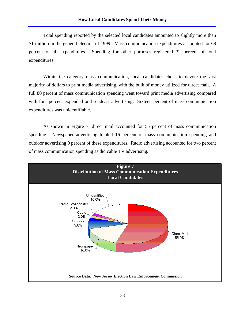Total spending reported by the selected local candidates amounted to slightly more than \$1 million in the general election of 1999. Mass communication expenditures accounted for 68 percent of all expenditures. Spending for other purposes registered 32 percent of total expenditures.

Within the category mass communication, local candidates chose to devote the vast majority of dollars to print media advertising, with the bulk of money utilized for direct mail. A full 80 percent of mass communication spending went toward print media advertising compared with four percent expended on broadcast advertising. Sixteen percent of mass communication expenditures was unidentifiable.

As shown in Figure 7, direct mail accounted for 55 percent of mass communication spending. Newspaper advertising totaled 16 percent of mass communication spending and outdoor advertising 9 percent of these expenditures. Radio advertising accounted for two percent of mass communication spending as did cable TV advertising.

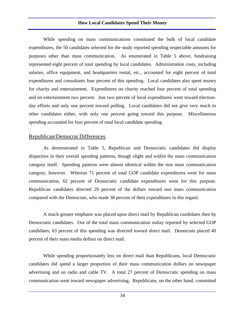While spending on mass communications constituted the bulk of local candidate expenditures, the 50 candidates selected for the study reported spending respectable amounts for purposes other than mass communication. As enumerated in Table 5 above, fundraising represented eight percent of total spending by local candidates. Administration costs, including salaries, office equipment, and headquarters rental, etc., accounted for eight percent of total expenditures and consultants four percent of this spending. Local candidates also spent money for charity and entertainment. Expenditures on charity reached four percent of total spending and on entertainment two percent. Just two percent of local expenditures went toward electionday efforts and only one percent toward polling. Local candidates did not give very much to other candidates either, with only one percent going toward this purpose. Miscellaneous spending accounted for four percent of total local candidate spending.

#### Republican/Democrat Differences

As demonstrated in Table 5, Republican and Democratic candidates did display disparities in their overall spending patterns, though slight and within the mass communication category itself. Spending patterns were almost identical within the non mass communication category, however. Whereas 71 percent of total GOP candidate expenditures went for mass communication, 62 percent of Democratic candidate expenditures went for this purpose. Republican candidates directed 29 percent of the dollars toward non mass communication compared with the Democrats, who made 38 percent of their expenditures in this regard.

A much greater emphasis was placed upon direct mail by Republican candidates then by Democratic candidates. Out of the total mass communication outlay reported by selected GOP candidates, 63 percent of this spending was directed toward direct mail. Democrats placed 40 percent of their mass media dollars on direct mail.

While spending proportionately less on direct mail than Republicans, local Democratic candidates did spend a larger proportion of their mass communication dollars on newspaper advertising and on radio and cable TV. A total 27 percent of Democratic spending on mass communication went toward newspaper advertising. Republicans, on the other hand, committed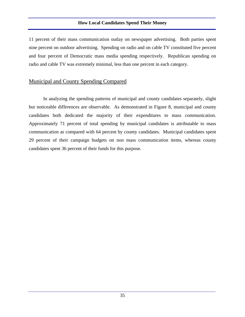11 percent of their mass communication outlay on newspaper advertising. Both parties spent nine percent on outdoor advertising. Spending on radio and on cable TV constituted five percent and four percent of Democratic mass media spending respectively. Republican spending on radio and cable TV was extremely minimal, less than one percent in each category.

# Municipal and County Spending Compared

In analyzing the spending patterns of municipal and county candidates separately, slight but noticeable differences are observable. As demonstrated in Figure 8, municipal and county candidates both dedicated the majority of their expenditures to mass communication. Approximately 71 percent of total spending by municipal candidates is attributable to mass communication as compared with 64 percent by county candidates. Municipal candidates spent 29 percent of their campaign budgets on non mass communication items, whereas county candidates spent 36 percent of their funds for this purpose.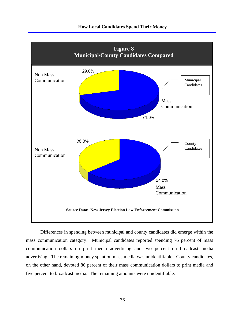# **Figure 8 Municipal/County Candidates Compared** 29.0% Non Mass Communication Municipal Candidates Mass Communication71.0% 36.0% County Non Mass **Candidates** Candidates **Candidates** Candidates **Candidates** Candidates **Candidates** Communication 64.0% Mass Communication

#### **How Local Candidates Spend Their Money**

**Source Data: New Jersey Election Law Enforcement Commission**

Differences in spending between municipal and county candidates did emerge within the mass communication category. Municipal candidates reported spending 76 percent of mass communication dollars on print media advertising and two percent on broadcast media advertising. The remaining money spent on mass media was unidentifiable. County candidates, on the other hand, devoted 86 percent of their mass communication dollars to print media and five percent to broadcast media. The remaining amounts were unidentifiable.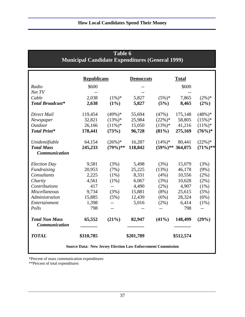| <u>numelpat Candidate Expenditures (General 1999)</u>              |                    |             |                  |                     |              |             |  |
|--------------------------------------------------------------------|--------------------|-------------|------------------|---------------------|--------------|-------------|--|
|                                                                    | <b>Republicans</b> |             | <b>Democrats</b> |                     | <b>Total</b> |             |  |
| Radio                                                              | \$600              |             |                  |                     | \$600        |             |  |
| Net TV                                                             |                    |             |                  |                     |              |             |  |
| Cable                                                              | 2,038              | $(1\%)^*$   | 5,827            | $(5\%)*$            | 7,865        | $(2\%)^*$   |  |
| <b>Total Broadcast*</b>                                            | 2,638              | $(1\%)$     | 5,827            | (5%)                | 8,465        | $(2\%)$     |  |
| Direct Mail                                                        | 119,454            | $(49\%)*$   | 55,694           | (47%)               | 175,148      | $(48\%)*$   |  |
| Newspaper                                                          | 32,821             | $(13\%)^*$  | 25,984           | $(22\%)^*$          | 58,805       | $(15\%)*$   |  |
| <b>Outdoor</b>                                                     | 26,166             | $(11\%)^*$  | 15,050           | $(13\%)^*$          | 41,216       | $(11\%)^*$  |  |
| <b>Total Print*</b>                                                | 178,441            | (73%)       | 96,728           | $(81\%)$            | 275,169      | $(76%)$ *   |  |
| Unidentifiable                                                     | 64,154             | $(26\%)*$   | 16,287           | $(14\%)$ *          | 80,441       | $(22\%)$ *  |  |
| <b>Total Mass</b>                                                  | 245,233            | $(79\%)$ ** | 118,842          | $(59\%)$ ** 364,075 |              | $(71\%)$ ** |  |
| <b>Communication</b>                                               |                    |             |                  |                     |              |             |  |
| <b>Election Day</b>                                                | 9,581              | (3%)        | 5,498            | (3%)                | 15,079       | (3%)        |  |
| Fundraising                                                        | 20,953             | (7%)        | 25,225           | (13%)               | 46,178       | $(9\%)$     |  |
| Consultants                                                        | 2,225              | $(1\%)$     | 8,331            | $(4\%)$             | 10,556       | $(2\%)$     |  |
| Charity                                                            | 4,561              | $(1\%)$     | 6,067            | (3%)                | 10,628       | $(2\%)$     |  |
| Contributions                                                      | 417                | $-$         | 4,490            | $(2\%)$             | 4,907        | $(1\%)$     |  |
| <b>Miscellaneous</b>                                               | 9,734              | (3%)        | 15,881           | $(8\%)$             | 25,615       | (5%)        |  |
| Administration                                                     | 15,885             | (5%)        | 12,439           | (6%)                | 28,324       | (6%)        |  |
| Entertainment                                                      | 1,398              | $-$         | 5,016            | $(2\%)$             | 6,414        | $(1\%)$     |  |
| Polls                                                              | 798                | $-$         |                  |                     | 798          | $-$         |  |
| <b>Total Non Mass</b><br><b>Communication</b>                      | 65,552             | (21%)       | 82,947           | (41%)               | 148,499      | (29%)       |  |
| <b>TOTAL</b>                                                       | \$310,785          |             | \$201,789        |                     | \$512,574    |             |  |
| <b>Source Data: New Jersey Election Law Enforcement Commission</b> |                    |             |                  |                     |              |             |  |

**Table 6 Municipal Candidate Expenditures (General 1999)**

\*Percent of mass communication expenditures

\*\*Percent of total expenditures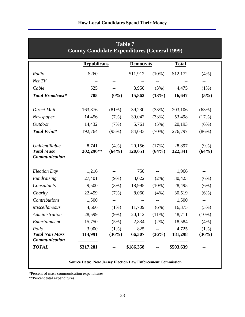|                                                      | <b>County Candidate Expenditures (General 1999)</b>                |                          | <b>Table 7</b>    |                          |                   |                  |
|------------------------------------------------------|--------------------------------------------------------------------|--------------------------|-------------------|--------------------------|-------------------|------------------|
|                                                      | <b>Republicans</b>                                                 |                          | <b>Democrats</b>  |                          | <b>Total</b>      |                  |
| Radio                                                | \$260                                                              | $- -$                    | \$11,912          | $(10\%)$                 | \$12,172          | (4%)             |
| Net TV                                               |                                                                    | $- -$                    |                   |                          |                   | $--$             |
| Cable                                                | 525                                                                | $-$                      | 3,950             | (3%)                     | 4,475             | (1%)             |
| <b>Total Broadcast*</b>                              | 785                                                                | $(0\%)$                  | 15,862            | (13%)                    | 16,647            | (5%)             |
| Direct Mail                                          | 163,876                                                            | (81%)                    | 39,230            | (33%)                    | 203,106           | (63%)            |
| Newspaper                                            | 14,456                                                             | (7%)                     | 39,042            | (33%)                    | 53,498            | (17%)            |
| <b>Outdoor</b>                                       | 14,432                                                             | (7%)                     | 5,761             | (5%)                     | 20,193            | (6%)             |
| <b>Total Print*</b>                                  | 192,764                                                            | (95%)                    | 84,033            | (70%)                    | 276,797           | (86%)            |
| Unidentifiable<br><b>Total Mass</b><br>Communication | 8,741<br>202,290**                                                 | $(4\%)$<br>(64%)         | 20,156<br>120,051 | (17%)<br>(64%)           | 28,897<br>322,341 | $(9\%)$<br>(64%) |
| <b>Election Day</b>                                  | 1,216                                                              | --                       | 750               | $\overline{\phantom{m}}$ | 1,966             |                  |
| Fundraising                                          | 27,401                                                             | $(9\%)$                  | 3,022             | $(2\%)$                  | 30,423            | (6%)             |
| Consultants                                          | 9,500                                                              | (3%)                     | 18,995            | $(10\%)$                 | 28,495            | (6%)             |
| Charity                                              | 22,459                                                             | (7%)                     | 8,060             | (4%)                     | 30,519            | (6%)             |
| Contributions                                        | 1,500                                                              | $\overline{\phantom{m}}$ | $-\, -$           | $\overline{\phantom{m}}$ | 1,500             | $- -$            |
| Miscellaneous                                        | 4,666                                                              | $(1\%)$                  | 11,709            | (6%)                     | 16,375            | (3%)             |
| Administration                                       | 28,599                                                             | $(9\%)$                  | 20,112            | $(11\%)$                 | 48,711            | (10%)            |
| Entertainment                                        | 15,750                                                             | (5%)                     | 2,834             | $(2\%)$                  | 18,584            | (4%)             |
| Polls                                                | 3,900                                                              | $(1\%)$                  | 825               |                          | 4,725             | (1%)             |
| <b>Total Non Mass</b><br>Communication               | 114,991                                                            | (36%)                    | 66,307            | (36%)                    | 181,298           | (36%)            |
| <b>TOTAL</b>                                         | \$317,281                                                          |                          | \$186,358         |                          | \$503,639         |                  |
|                                                      | <b>Source Data: New Jersey Election Law Enforcement Commission</b> |                          |                   |                          |                   |                  |

\*Percent of mass communication expenditures

\*\*Percent total expenditures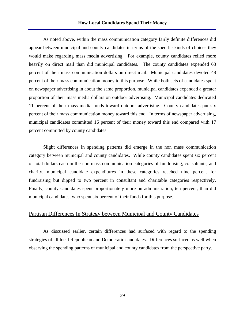As noted above, within the mass communication category fairly definite differences did appear between municipal and county candidates in terms of the specific kinds of choices they would make regarding mass media advertising. For example, county candidates relied more heavily on direct mail than did municipal candidates. The county candidates expended 63 percent of their mass communication dollars on direct mail. Municipal candidates devoted 48 percent of their mass communication money to this purpose. While both sets of candidates spent on newspaper advertising in about the same proportion, municipal candidates expended a greater proportion of their mass media dollars on outdoor advertising. Municipal candidates dedicated 11 percent of their mass media funds toward outdoor advertising. County candidates put six percent of their mass communication money toward this end. In terms of newspaper advertising, municipal candidates committed 16 percent of their money toward this end compared with 17 percent committed by county candidates.

Slight differences in spending patterns did emerge in the non mass communication category between municipal and county candidates. While county candidates spent six percent of total dollars each in the non mass communication categories of fundraising, consultants, and charity, municipal candidate expenditures in these categories reached nine percent for fundraising but dipped to two percent in consultant and charitable categories respectively. Finally, county candidates spent proportionately more on administration, ten percent, than did municipal candidates, who spent six percent of their funds for this purpose.

#### Partisan Differences In Strategy between Municipal and County Candidates

As discussed earlier, certain differences had surfaced with regard to the spending strategies of all local Republican and Democratic candidates. Differences surfaced as well when observing the spending patterns of municipal and county candidates from the perspective party.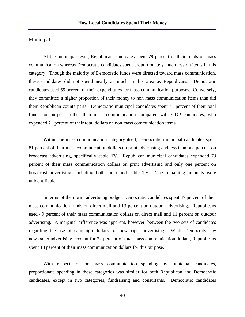## Municipal

At the municipal level, Republican candidates spent 79 percent of their funds on mass communication whereas Democratic candidates spent proportionately much less on items in this category. Though the majority of Democratic funds were directed toward mass communication, these candidates did not spend nearly as much in this area as Republicans. Democratic candidates used 59 percent of their expenditures for mass communication purposes. Conversely, they committed a higher proportion of their money to non mass communication items than did their Republican counterparts. Democratic municipal candidates spent 41 percent of their total funds for purposes other than mass communication compared with GOP candidates, who expended 21 percent of their total dollars on non mass communication items.

Within the mass communication category itself, Democratic municipal candidates spent 81 percent of their mass communication dollars on print advertising and less than one percent on broadcast advertising, specifically cable TV. Republican municipal candidates expended 73 percent of their mass communication dollars on print advertising and only one percent on broadcast advertising, including both radio and cable TV. The remaining amounts were unidentifiable.

In terms of their print advertising budget, Democratic candidates spent 47 percent of their mass communication funds on direct mail and 13 percent on outdoor advertising. Republicans used 49 percent of their mass communication dollars on direct mail and 11 percent on outdoor advertising. A marginal difference was apparent, however, between the two sets of candidates regarding the use of campaign dollars for newspaper advertising. While Democrats saw newspaper advertising account for 22 percent of total mass communication dollars, Republicans spent 13 percent of their mass communication dollars for this purpose.

With respect to non mass communication spending by municipal candidates, proportionate spending in these categories was similar for both Republican and Democratic candidates, except in two categories, fundraising and consultants. Democratic candidates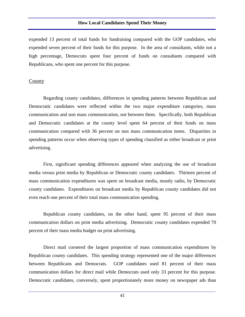expended 13 percent of total funds for fundraising compared with the GOP candidates, who expended seven percent of their funds for this purpose. In the area of consultants, while not a high percentage, Democrats spent four percent of funds on consultants compared with Republicans, who spent one percent for this purpose.

#### County

Regarding county candidates, differences in spending patterns between Republican and Democratic candidates were reflected within the two major expenditure categories, mass communication and non mass communication, not between them. Specifically, both Republican and Democratic candidates at the county level spent 64 percent of their funds on mass communication compared with 36 percent on non mass communication items. Disparities in spending patterns occur when observing types of spending classified as either broadcast or print advertising.

First, significant spending differences appeared when analyzing the use of broadcast media versus print media by Republican or Democratic county candidates. Thirteen percent of mass communication expenditures was spent on broadcast media, mostly radio, by Democratic county candidates. Expenditures on broadcast media by Republican county candidates did not even reach one percent of their total mass communication spending.

Republican county candidates, on the other hand, spent 95 percent of their mass communication dollars on print media advertising. Democratic county candidates expended 70 percent of their mass media budget on print advertising.

Direct mail cornered the largest proportion of mass communication expenditures by Republican county candidates. This spending strategy represented one of the major differences between Republicans and Democrats. GOP candidates used 81 percent of their mass communication dollars for direct mail while Democrats used only 33 percent for this purpose. Democratic candidates, conversely, spent proportionately more money on newspaper ads than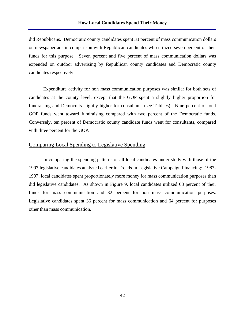did Republicans. Democratic county candidates spent 33 percent of mass communication dollars on newspaper ads in comparison with Republican candidates who utilized seven percent of their funds for this purpose. Seven percent and five percent of mass communication dollars was expended on outdoor advertising by Republican county candidates and Democratic county candidates respectively.

Expenditure activity for non mass communication purposes was similar for both sets of candidates at the county level, except that the GOP spent a slightly higher proportion for fundraising and Democrats slightly higher for consultants (see Table 6). Nine percent of total GOP funds went toward fundraising compared with two percent of the Democratic funds. Conversely, ten percent of Democratic county candidate funds went for consultants, compared with three percent for the GOP.

# Comparing Local Spending to Legislative Spending

In comparing the spending patterns of all local candidates under study with those of the 1997 legislative candidates analyzed earlier in Trends In Legislative Campaign Financing: 1987- 1997, local candidates spent proportionately more money for mass communication purposes than did legislative candidates. As shown in Figure 9, local candidates utilized 68 percent of their funds for mass communication and 32 percent for non mass communication purposes. Legislative candidates spent 36 percent for mass communication and 64 percent for purposes other than mass communication.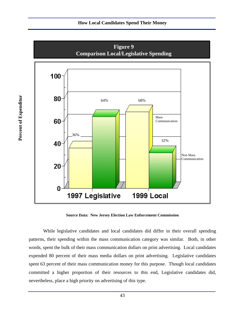

**Source Data: New Jersey Election Law Enforcement Commission**

While legislative candidates and local candidates did differ in their overall spending patterns, their spending within the mass communication category was similar. Both, in other words, spent the bulk of their mass communication dollars on print advertising. Local candidates expended 80 percent of their mass media dollars on print advertising. Legislative candidates spent 63 percent of their mass communication money for this purpose. Though local candidates committed a higher proportion of their resources to this end, Legislative candidates did, nevertheless, place a high priority on advertising of this type.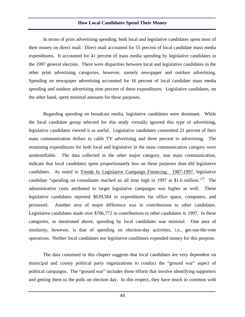In terms of print advertising spending, both local and legislative candidates spent most of their money on direct mail. Direct mail accounted for 55 percent of local candidate mass media expenditures. It accounted for 41 percent of mass media spending by legislative candidates in the 1997 general election. There were disparities between local and legislative candidates in the other print advertising categories, however, namely newspaper and outdoor advertising. Spending on newspaper advertising accounted for 16 percent of local candidate mass media spending and outdoor advertising nine percent of these expenditures. Legislative candidates, on the other hand, spent minimal amounts for these purposes.

Regarding spending on broadcast media, legislative candidates were dominant. While the local candidate group selected for this study virtually ignored this type of advertising, legislative candidates viewed it as useful. Legislative candidates committed 21 percent of their mass communication dollars to cable TV advertising and three percent to advertising. The remaining expenditures for both local and legislative in the mass communication category were unidentifiable. The data collected in the other major category, non mass communication, indicate that local candidates spent proportionately less on these purposes than did legislative candidates. As noted in Trends In Legislative Campaign Financing: 1987-1997, legislative candidate "spending on consultants reached an all time high in 1997 at \$1.6 million."<sup>15</sup> The administrative costs attributed to target legislative campaigns was higher as well. These legislative candidates reported \$639,584 in expenditures for office space, computers, and personnel. Another area of major difference was in contributions to other candidates. Legislative candidates made over \$706,772 in contributions to other candidates in 1997. In these categories, as mentioned above, spending by local candidates was minimal. One area of similarity, however, is that of spending on election-day activities, i.e., get-out-the-vote operations. Neither local candidates nor legislative candidates expended money for this purpose.

The data contained in this chapter suggests that local candidates are very dependent on municipal and county political party organizations to conduct the "ground war" aspect of political campaigns. The "ground war" includes those efforts that involve identifying supporters and getting them to the polls on election day. In this respect, they have much in common with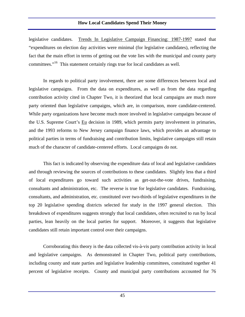legislative candidates. Trends In Legislative Campaign Financing: 1987-1997 stated that "expenditures on election day activities were minimal (for legislative candidates), reflecting the fact that the main effort in terms of getting out the vote lies with the municipal and county party committees."<sup>16</sup> This statement certainly rings true for local candidates as well.

In regards to political party involvement, there are some differences between local and legislative campaigns. From the data on expenditures, as well as from the data regarding contribution activity cited in Chapter Two, it is theorized that local campaigns are much more party oriented than legislative campaigns, which are, in comparison, more candidate-centered. While party organizations have become much more involved in legislative campaigns because of the U.S. Supreme Court's Eu decision in 1989, which permits party involvement in primaries, and the 1993 reforms to New Jersey campaign finance laws, which provides an advantage to political parties in terms of fundraising and contribution limits, legislative campaigns still retain much of the character of candidate-centered efforts. Local campaigns do not.

This fact is indicated by observing the expenditure data of local and legislative candidates and through reviewing the sources of contributions to these candidates. Slightly less that a third of local expenditures go toward such activities as get-out-the-vote drives, fundraising, consultants and administration, etc. The reverse is true for legislative candidates. Fundraising, consultants, and administration, etc. constituted over two-thirds of legislative expenditures in the top 20 legislative spending districts selected for study in the 1997 general election. This breakdown of expenditures suggests strongly that local candidates, often recruited to run by local parties, lean heavily on the local parties for support. Moreover, it suggests that legislative candidates still retain important control over their campaigns.

Corroborating this theory is the data collected vis-à-vis party contribution activity in local and legislative campaigns. As demonstrated in Chapter Two, political party contributions, including county and state parties and legislative leadership committees, constituted together 41 percent of legislative receipts. County and municipal party contributions accounted for 76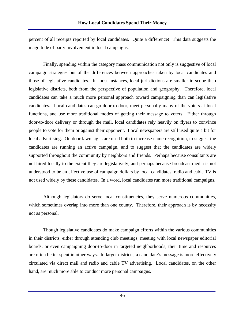percent of all receipts reported by local candidates. Quite a difference! This data suggests the magnitude of party involvement in local campaigns.

Finally, spending within the category mass communication not only is suggestive of local campaign strategies but of the differences between approaches taken by local candidates and those of legislative candidates. In most instances, local jurisdictions are smaller in scope than legislative districts, both from the perspective of population and geography. Therefore, local candidates can take a much more personal approach toward campaigning than can legislative candidates. Local candidates can go door-to-door, meet personally many of the voters at local functions, and use more traditional modes of getting their message to voters. Either through door-to-door delivery or through the mail, local candidates rely heavily on flyers to convince people to vote for them or against their opponent. Local newspapers are still used quite a bit for local advertising. Outdoor lawn signs are used both to increase name recognition, to suggest the candidates are running an active campaign, and to suggest that the candidates are widely supported throughout the community by neighbors and friends. Perhaps because consultants are not hired locally to the extent they are legislatively, and perhaps because broadcast media is not understood to be an effective use of campaign dollars by local candidates, radio and cable TV is not used widely by these candidates. In a word, local candidates run more traditional campaigns.

Although legislators do serve local constituencies, they serve numerous communities, which sometimes overlap into more than one county. Therefore, their approach is by necessity not as personal.

Though legislative candidates do make campaign efforts within the various communities in their districts, either through attending club meetings, meeting with local newspaper editorial boards, or even campaigning door-to-door in targeted neighborhoods, their time and resources are often better spent in other ways. In larger districts, a candidate's message is more effectively circulated via direct mail and radio and cable TV advertising. Local candidates, on the other hand, are much more able to conduct more personal campaigns.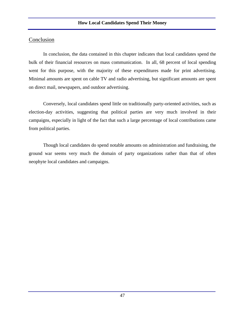In conclusion, the data contained in this chapter indicates that local candidates spend the bulk of their financial resources on mass communication. In all, 68 percent of local spending went for this purpose, with the majority of these expenditures made for print advertising. Minimal amounts are spent on cable TV and radio advertising, but significant amounts are spent on direct mail, newspapers, and outdoor advertising.

Conversely, local candidates spend little on traditionally party-oriented activities, such as election-day activities, suggesting that political parties are very much involved in their campaigns, especially in light of the fact that such a large percentage of local contributions came from political parties.

Though local candidates do spend notable amounts on administration and fundraising, the ground war seems very much the domain of party organizations rather than that of often neophyte local candidates and campaigns.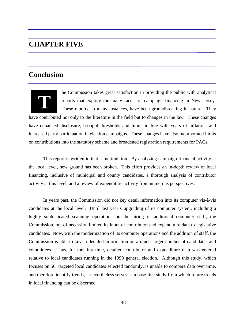# **CHAPTER FIVE**

# **Conclusion**



he Commission takes great satisfaction in providing the public with analytical reports that explore the many facets of campaign financing in New Jersey. These reports, in many instances, have been groundbreaking in nature. They

have contributed not only to the literature in the field but to changes in the law. These changes have enhanced disclosure, brought thresholds and limits in line with years of inflation, and increased party participation in election campaigns. These changes have also incorporated limits on contributions into the statutory scheme and broadened registration requirements for PACs.

This report is written in that same tradition. By analyzing campaign financial activity at the local level, new ground has been broken. This effort provides an in-depth review of local financing, inclusive of municipal and county candidates, a thorough analysis of contributor activity at this level, and a review of expenditure activity from numerous perspectives.

In years past, the Commission did not key detail information into its computer vis-à-vis candidates at the local level. Until last year's upgrading of its computer system, including a highly sophisticated scanning operation and the hiring of additional computer staff, the Commission, out of necessity, limited its input of contributor and expenditure data to legislative candidates. Now, with the modernization of its computer operations and the addition of staff, the Commission is able to key-in detailed information on a much larger number of candidates and committees. Thus, for the first time, detailed contributor and expenditure data was entered relative to local candidates running in the 1999 general election. Although this study, which focuses on 50 targeted local candidates selected randomly, is unable to compare data over time, and therefore identify trends, it nevertheless serves as a base-line study from which future trends in local financing can be discerned.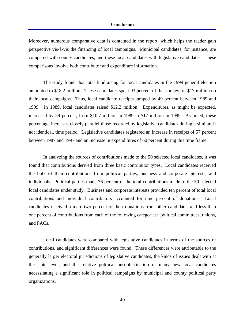Moreover, numerous comparative data is contained in the report, which helps the reader gain perspective vis-à-vis the financing of local campaigns. Municipal candidates, for instance, are compared with county candidates, and these local candidates with legislative candidates. These comparisons involve both contributor and expenditure information.

The study found that total fundraising for local candidates in the 1999 general election amounted to \$18.2 million. These candidates spent 93 percent of that money, or \$17 million on their local campaigns. Thus, local candidate receipts jumped by 49 percent between 1989 and 1999. In 1989, local candidates raised \$12.2 million. Expenditures, as might be expected, increased by 59 percent, from \$10.7 million in 1989 to \$17 million in 1999. As noted, these percentage increases closely parallel those recorded by legislative candidates during a similar, if not identical, time period. Legislative candidates registered an increase in receipts of 57 percent between 1987 and 1997 and an increase in expenditures of 60 percent during this time frame.

In analyzing the sources of contributions made to the 50 selected local candidates, it was found that contributions derived from three basic contributor types. Local candidates received the bulk of their contributions from political parties, business and corporate interests, and individuals. Political parties made 76 percent of the total contributions made to the 50 selected local candidates under study. Business and corporate interests provided ten percent of total local contributions and individual contributors accounted for nine percent of donations. Local candidates received a mere two percent of their donations from other candidates and less than one percent of contributions from each of the following categories: political committees, unions, and PACs.

Local candidates were compared with legislative candidates in terms of the sources of contributions, and significant differences were found. These differences were attributable to the generally larger electoral jurisdictions of legislative candidates, the kinds of issues dealt with at the state level, and the relative political unsophistication of many new local candidates necessitating a significant role in political campaigns by municipal and county political party organizations.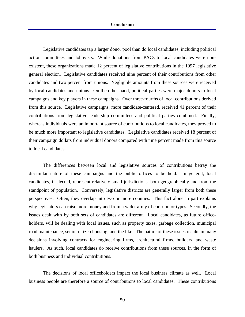Legislative candidates tap a larger donor pool than do local candidates, including political action committees and lobbyists. While donations from PACs to local candidates were nonexistent, these organizations made 12 percent of legislative contributions in the 1997 legislative general election. Legislative candidates received nine percent of their contributions from other candidates and two percent from unions. Negligible amounts from these sources were received by local candidates and unions. On the other hand, political parties were major donors to local campaigns and key players in these campaigns. Over three-fourths of local contributions derived from this source. Legislative campaigns, more candidate-centered, received 41 percent of their contributions from legislative leadership committees and political parties combined. Finally, whereas individuals were an important source of contributions to local candidates, they proved to be much more important to legislative candidates. Legislative candidates received 18 percent of their campaign dollars from individual donors compared with nine percent made from this source to local candidates.

The differences between local and legislative sources of contributions betray the dissimilar nature of these campaigns and the public offices to be held. In general, local candidates, if elected, represent relatively small jurisdictions, both geographically and from the standpoint of population. Conversely, legislative districts are generally larger from both these perspectives. Often, they overlap into two or more counties. This fact alone in part explains why legislators can raise more money and from a wider array of contributor types. Secondly, the issues dealt with by both sets of candidates are different. Local candidates, as future officeholders, will be dealing with local issues, such as property taxes, garbage collection, municipal road maintenance, senior citizen housing, and the like. The nature of these issues results in many decisions involving contracts for engineering firms, architectural firms, builders, and waste haulers. As such, local candidates do receive contributions from these sources, in the form of both business and individual contributions.

The decisions of local officeholders impact the local business climate as well. Local business people are therefore a source of contributions to local candidates. These contributions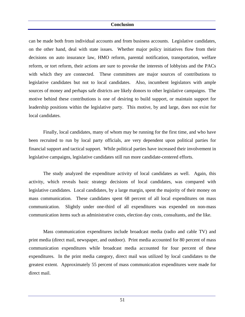can be made both from individual accounts and from business accounts. Legislative candidates, on the other hand, deal with state issues. Whether major policy initiatives flow from their decisions on auto insurance law, HMO reform, parental notification, transportation, welfare reform, or tort reform, their actions are sure to provoke the interests of lobbyists and the PACs with which they are connected. These committees are major sources of contributions to legislative candidates but not to local candidates. Also, incumbent legislators with ample sources of money and perhaps safe districts are likely donors to other legislative campaigns. The motive behind these contributions is one of desiring to build support, or maintain support for leadership positions within the legislative party. This motive, by and large, does not exist for local candidates.

Finally, local candidates, many of whom may be running for the first time, and who have been recruited to run by local party officials, are very dependent upon political parties for financial support and tactical support. While political parties have increased their involvement in legislative campaigns, legislative candidates still run more candidate-centered efforts.

The study analyzed the expenditure activity of local candidates as well. Again, this activity, which reveals basic strategy decisions of local candidates, was compared with legislative candidates. Local candidates, by a large margin, spent the majority of their money on mass communication. These candidates spent 68 percent of all local expenditures on mass communication. Slightly under one-third of all expenditures was expended on non-mass communication items such as administrative costs, election day costs, consultants, and the like.

Mass communication expenditures include broadcast media (radio and cable TV) and print media (direct mail, newspaper, and outdoor). Print media accounted for 80 percent of mass communication expenditures while broadcast media accounted for four percent of these expenditures. In the print media category, direct mail was utilized by local candidates to the greatest extent. Approximately 55 percent of mass communication expenditures were made for direct mail.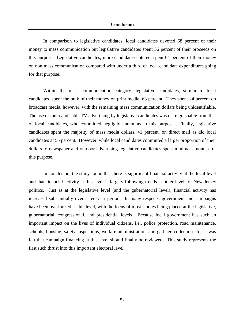In comparison to legislative candidates, local candidates devoted 68 percent of their money to mass communication but legislative candidates spent 36 percent of their proceeds on this purpose. Legislative candidates, more candidate-centered, spent 64 percent of their money on non mass communication compared with under a third of local candidate expenditures going for that purpose.

Within the mass communication category, legislative candidates, similar to local candidates, spent the bulk of their money on print media, 63 percent. They spent 24 percent on broadcast media, however, with the remaining mass communication dollars being unidentifiable. The use of radio and cable TV advertising by legislative candidates was distinguishable from that of local candidates, who committed negligible amounts to this purpose. Finally, legislative candidates spent the majority of mass media dollars, 41 percent, on direct mail as did local candidates at 55 percent. However, while local candidates committed a larger proportion of their dollars to newspaper and outdoor advertising legislative candidates spent minimal amounts for this purpose.

In conclusion, the study found that there is significant financial activity at the local level and that financial activity at this level is largely following trends at other levels of New Jersey politics. Just as at the legislative level (and the gubernatorial level), financial activity has increased substantially over a ten-year period. In many respects, government and campaigns have been overlooked at this level, with the focus of most studies being placed at the legislative, gubernatorial, congressional, and presidential levels. Because local government has such an important impact on the lives of individual citizens, i.e., police protection, road maintenance, schools, housing, safety inspections, welfare administration, and garbage collection etc., it was felt that campaign financing at this level should finally be reviewed. This study represents the first such thrust into this important electoral level.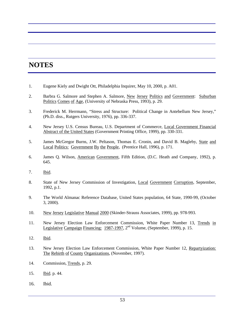# **NOTES**

- 1. Eugene Kiely and Dwight Ott, Philadelphia Inquirer, May 10, 2000, p. A01.
- 2. Barbra G. Salmore and Stephen A. Salmore, New Jersey Politics and Government: Suburban Politics Comes of Age, (University of Nebraska Press, 1993), p. 29.
- 3. Frederick M. Herrmann, "Stress and Structure: Political Change in Antebellum New Jersey," (Ph.D. diss., Rutgers University, 1976), pp. 336-337.
- 4. New Jersey U.S. Census Bureau, U.S. Department of Commerce, Local Government Financial Abstract of the United States (Government Printing Office, 1999), pp. 330-331.
- 5. James McGregor Burns, J.W. Peltason, Thomas E. Cronin, and David B. Magleby, State and Local Politics: Government By the People, (Prentice Hall, 1996), p. 171.
- 6. James Q. Wilson, American Government, Fifth Edition, (D.C. Heath and Company, 1992), p. 645.
- 7. Ibid.
- 8. State of New Jersey Commission of Investigation, Local Government Corruption, September, 1992, p.1.
- 9. The World Almanac Reference Database, United States population, 64 State, 1990-99, (October 3, 2000).
- 10. New Jersey Legislative Manual 2000 (Skinder-Strauss Associates, 1999), pp. 978-993.
- 11. New Jersey Election Law Enforcement Commission, White Paper Number 13, Trends in Legislative Campaign Financing: 1987-1997, 2nd Volume, (September, 1999), p. 15.
- 12. Ibid.
- 13. New Jersey Election Law Enforcement Commission, White Paper Number 12, Repartyization: The Rebirth of County Organizations, (November, 1997).
- 14. Commission, Trends, p. 29.
- 15. Ibid. p. 44.
- 16. Ibid.